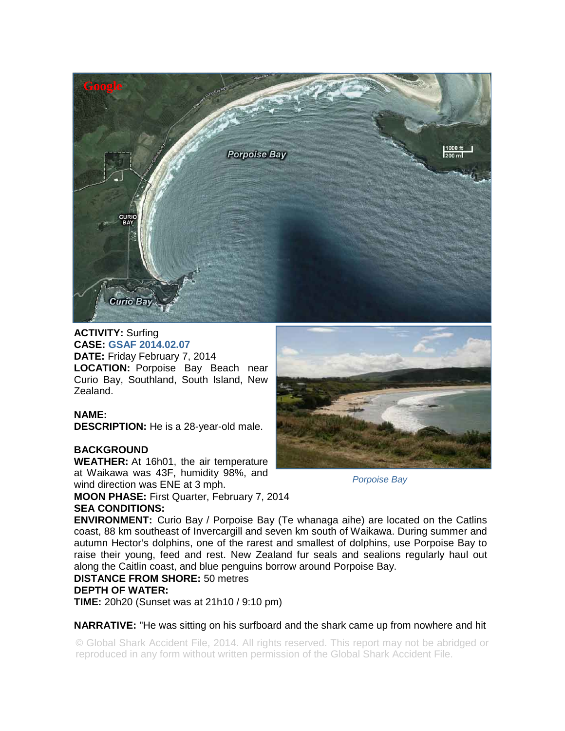

**ACTIVITY:** Surfing **CASE: GSAF 2014.02.07 DATE:** Friday February 7, 2014 LOCATION: Porpoise Bay Beach near Curio Bay, Southland, South Island, New Zealand.

## **NAME:**

**DESCRIPTION:** He is a 28-year-old male.

## **BACKGROUND**

**WEATHER:** At 16h01, the air temperature at Waikawa was 43F, humidity 98%, and wind direction was ENE at 3 mph.

**MOON PHASE:** First Quarter, February 7, 2014 **SEA CONDITIONS:** 



*Porpoise Bay* 

**ENVIRONMENT:** Curio Bay / Porpoise Bay (Te whanaga aihe) are located on the Catlins coast, 88 km southeast of Invercargill and seven km south of Waikawa. During summer and autumn Hector's dolphins, one of the rarest and smallest of dolphins, use Porpoise Bay to raise their young, feed and rest. New Zealand fur seals and sealions regularly haul out along the Caitlin coast, and blue penguins borrow around Porpoise Bay.

## **DISTANCE FROM SHORE:** 50 metres

## **DEPTH OF WATER:**

**TIME:** 20h20 (Sunset was at 21h10 / 9:10 pm)

**NARRATIVE:** "He was sitting on his surfboard and the shark came up from nowhere and hit

© Global Shark Accident File, 2014. All rights reserved. This report may not be abridged or reproduced in any form without written permission of the Global Shark Accident File.